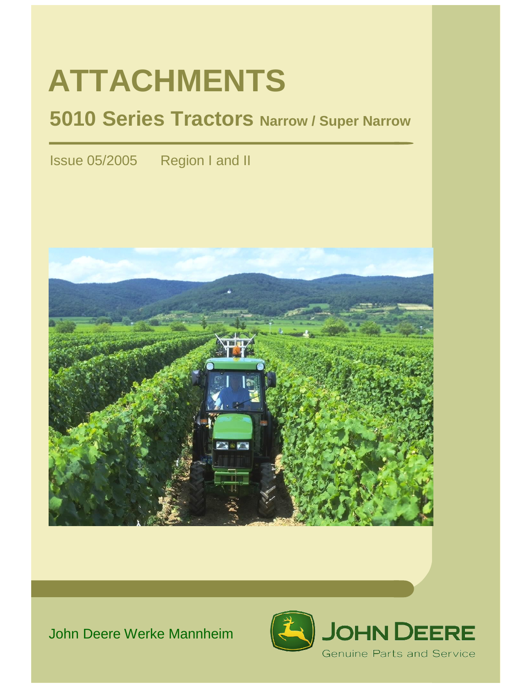# **ATTACHMENTS**

# **5010 Series Tractors Narrow / Super Narrow**

Issue 05/2005 Region I and II



# John Deere Werke Mannheim

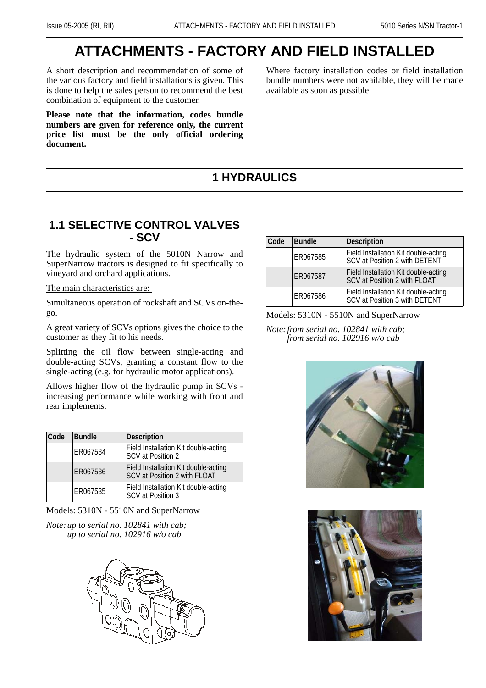# **ATTACHMENTS - FACTORY AND FIELD INSTALLED**

A short description and recommendation of some of the various factory and field installations is given. This is done to help the sales person to recommend the best combination of equipment to the customer.

**Please note that the information, codes bundle numbers are given for reference only, the current price list must be the only official ordering document.** 

Where factory installation codes or field installation bundle numbers were not available, they will be made available as soon as possible

# **1 HYDRAULICS**

## **1.1 SELECTIVE CONTROL VALVES - SCV**

The hydraulic system of the 5010N Narrow and SuperNarrow tractors is designed to fit specifically to vineyard and orchard applications.

The main characteristics are:

Simultaneous operation of rockshaft and SCVs on-thego.

A great variety of SCVs options gives the choice to the customer as they fit to his needs.

Splitting the oil flow between single-acting and double-acting SCVs, granting a constant flow to the single-acting (e.g. for hydraulic motor applications).

Allows higher flow of the hydraulic pump in SCVs increasing performance while working with front and rear implements.

| Code | <b>Bundle</b> | Description                                                          |
|------|---------------|----------------------------------------------------------------------|
|      | ER067534      | Field Installation Kit double-acting<br>SCV at Position 2            |
|      | ER067536      | Field Installation Kit double-acting<br>SCV at Position 2 with FLOAT |
|      | ER067535      | Field Installation Kit double-acting<br>SCV at Position 3            |

Models: 5310N - 5510N and SuperNarrow

*Note:up to serial no. 102841 with cab; up to serial no. 102916 w/o cab*



| Code | <b>Bundle</b> | <b>Description</b>                                                          |
|------|---------------|-----------------------------------------------------------------------------|
|      | ER067585      | Field Installation Kit double-acting<br>SCV at Position 2 with DETENT       |
|      | ER067587      | Field Installation Kit double-acting<br><b>SCV at Position 2 with FLOAT</b> |
|      | ER067586      | Field Installation Kit double-acting<br>SCV at Position 3 with DETENT       |

#### Models: 5310N - 5510N and SuperNarrow

*Note:from serial no. 102841 with cab; from serial no. 102916 w/o cab*



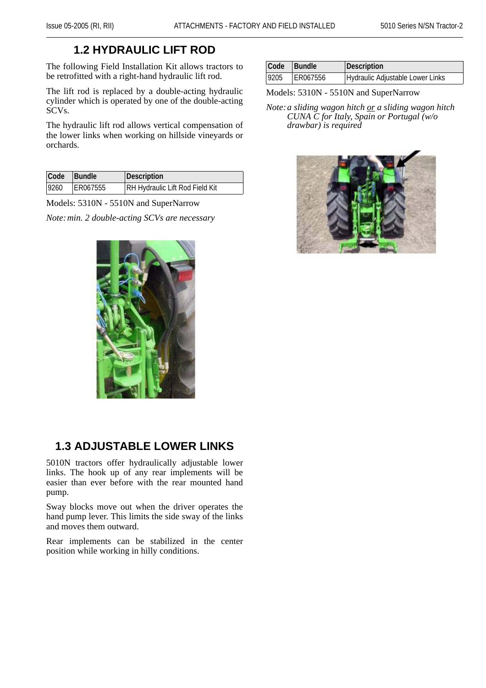# **1.2 HYDRAULIC LIFT ROD**

The following Field Installation Kit allows tractors to be retrofitted with a right-hand hydraulic lift rod.

The lift rod is replaced by a double-acting hydraulic cylinder which is operated by one of the double-acting SCVs.

The hydraulic lift rod allows vertical compensation of the lower links when working on hillside vineyards or orchards.

| Code | <b>Bundle</b> | Description                            |
|------|---------------|----------------------------------------|
| 9260 | ER067555      | <b>RH Hydraulic Lift Rod Field Kit</b> |

Models: 5310N - 5510N and SuperNarrow

*Note:min. 2 double-acting SCVs are necessary*



# **1.3 ADJUSTABLE LOWER LINKS**

5010N tractors offer hydraulically adjustable lower links. The hook up of any rear implements will be easier than ever before with the rear mounted hand pump.

Sway blocks move out when the driver operates the hand pump lever. This limits the side sway of the links and moves them outward.

Rear implements can be stabilized in the center position while working in hilly conditions.

| Code | <b>Bundle</b> | Description                      |
|------|---------------|----------------------------------|
| 9205 | ER067556      | Hydraulic Adjustable Lower Links |

#### Models: 5310N - 5510N and SuperNarrow

*Note:a sliding wagon hitch or a sliding wagon hitch CUNA C for Italy, Spain or Portugal (w/o drawbar) is required*

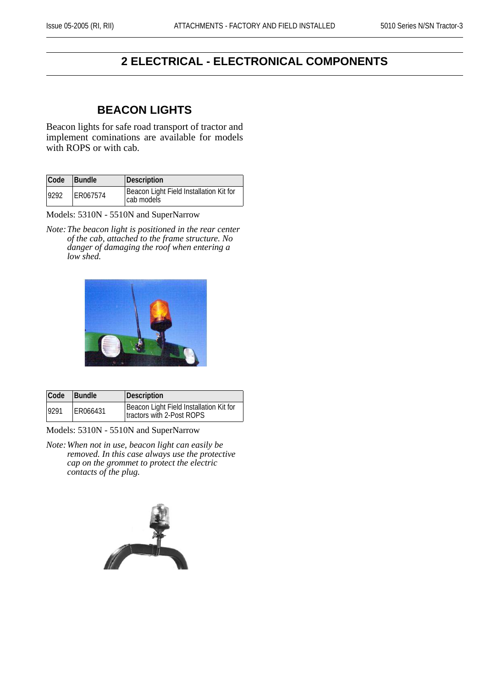# **2 ELECTRICAL - ELECTRONICAL COMPONENTS**

## **BEACON LIGHTS**

Beacon lights for safe road transport of tractor and implement cominations are available for models with ROPS or with cab.

| Code | <b>Bundle</b> | Description                                           |
|------|---------------|-------------------------------------------------------|
| 9292 | ER067574      | Beacon Light Field Installation Kit for<br>cab models |

Models: 5310N - 5510N and SuperNarrow

*Note:The beacon light is positioned in the rear center of the cab, attached to the frame structure. No danger of damaging the roof when entering a low shed.*



| Code  | Bundle   | Description                                                          |
|-------|----------|----------------------------------------------------------------------|
| 19291 | ER066431 | Beacon Light Field Installation Kit for<br>tractors with 2-Post ROPS |

Models: 5310N - 5510N and SuperNarrow

*Note:When not in use, beacon light can easily be removed. In this case always use the protective cap on the grommet to protect the electric contacts of the plug.*

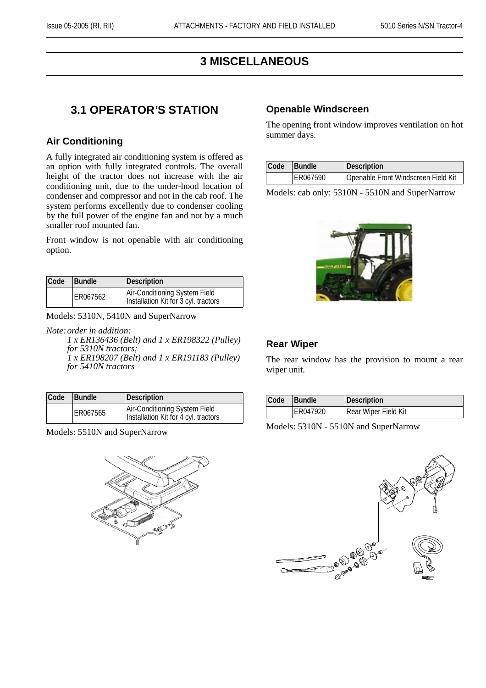# **3 MISCELLANEOUS**

# **3.1 OPERATOR'S STATION**

#### **Air Conditioning**

A fully integrated air conditioning system is offered as an option with fully integrated controls. The overall height of the tractor does not increase with the air conditioning unit, due to the under-hood location of condenser and compressor and not in the cab roof. The system performs excellently due to condenser cooling by the full power of the engine fan and not by a much smaller roof mounted fan.

Front window is not openable with air conditioning option.

| Code | <b>Bundle</b> | Description                                                           |
|------|---------------|-----------------------------------------------------------------------|
|      | ER067562      | Air-Conditioning System Field<br>Installation Kit for 3 cyl. tractors |

Models: 5310N, 5410N and SuperNarrow

*Note:order in addition: 1 x ER136436 (Belt) and 1 x ER198322 (Pulley) for 5310N tractors; 1 x ER198207 (Belt) and 1 x ER191183 (Pulley) for 5410N tractors*

| Code | <b>Bundle</b> | Description                                                           |
|------|---------------|-----------------------------------------------------------------------|
|      | ER067565      | Air-Conditioning System Field<br>Installation Kit for 4 cyl. tractors |

Models: 5510N and SuperNarrow



#### **Openable Windscreen**

The opening front window improves ventilation on hot summer days.

| Code | <b>Bundle</b> | Description                         |
|------|---------------|-------------------------------------|
|      | ER067590      | Openable Front Windscreen Field Kit |

Models: cab only: 5310N - 5510N and SuperNarrow



#### **Rear Wiper**

The rear window has the provision to mount a rear wiper unit.

| Code | <b>Bundle</b> | Description          |
|------|---------------|----------------------|
|      | ER047920      | Rear Wiper Field Kit |

Models: 5310N - 5510N and SuperNarrow

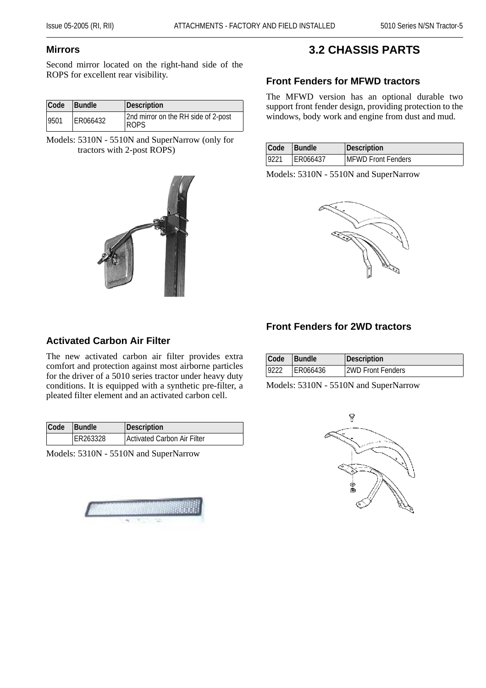#### **Mirrors**

Second mirror located on the right-hand side of the ROPS for excellent rear visibility.

| Code | <b>Bundle</b> | Description                                        |
|------|---------------|----------------------------------------------------|
| 9501 | ER066432      | 2nd mirror on the RH side of 2-post<br><b>ROPS</b> |

Models: 5310N - 5510N and SuperNarrow (only for tractors with 2-post ROPS)



# **3.2 CHASSIS PARTS**

#### **Front Fenders for MFWD tractors**

The MFWD version has an optional durable two support front fender design, providing protection to the windows, body work and engine from dust and mud.

| Code | <b>Bundle</b> | Description                |
|------|---------------|----------------------------|
| 9221 | ER066437      | <b>IMFWD Front Fenders</b> |

Models: 5310N - 5510N and SuperNarrow



#### **Activated Carbon Air Filter**

The new activated carbon air filter provides extra comfort and protection against most airborne particles for the driver of a 5010 series tractor under heavy duty conditions. It is equipped with a synthetic pre-filter, a pleated filter element and an activated carbon cell.

| Code | <b>Bundle</b> | Description                 |
|------|---------------|-----------------------------|
|      | ER263328      | Activated Carbon Air Filter |

Models: 5310N - 5510N and SuperNarrow



# **Front Fenders for 2WD tractors**

| Code Bundle |          | Description       |
|-------------|----------|-------------------|
| 9222        | ER066436 | 2WD Front Fenders |

Models: 5310N - 5510N and SuperNarrow

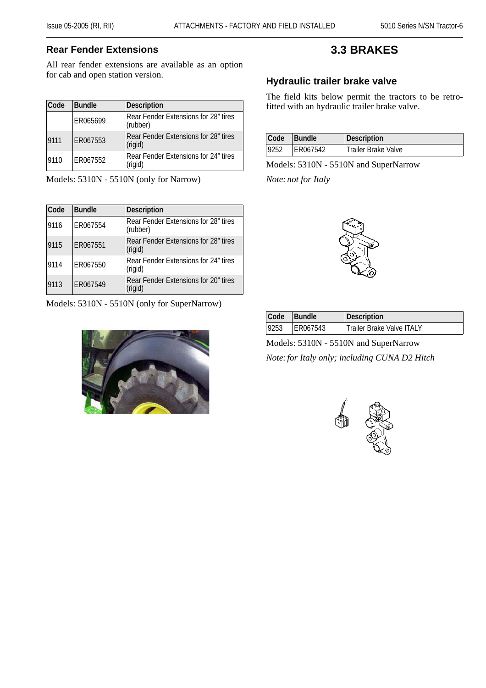## **Rear Fender Extensions**

All rear fender extensions are available as an option for cab and open station version.

| Code | <b>Bundle</b> | Description                                      |
|------|---------------|--------------------------------------------------|
|      | ER065699      | Rear Fender Extensions for 28" tires<br>(rubber) |
| 9111 | ER067553      | Rear Fender Extensions for 28" tires<br>(rigid)  |
| 9110 | ER067552      | Rear Fender Extensions for 24" tires<br>(rigid)  |

Models: 5310N - 5510N (only for Narrow)

| Code | <b>Bundle</b> | Description                                      |
|------|---------------|--------------------------------------------------|
| 9116 | ER067554      | Rear Fender Extensions for 28" tires<br>(rubber) |
| 9115 | ER067551      | Rear Fender Extensions for 28" tires<br>(rigid)  |
| 9114 | ER067550      | Rear Fender Extensions for 24" tires<br>(rigid)  |
| 9113 | ER067549      | Rear Fender Extensions for 20" tires<br>(rigid)  |

Models: 5310N - 5510N (only for SuperNarrow)



# **3.3 BRAKES**

## **Hydraulic trailer brake valve**

The field kits below permit the tractors to be retrofitted with an hydraulic trailer brake valve.

| Code | Bundle   | Description         |
|------|----------|---------------------|
| 9252 | ER067542 | Trailer Brake Valve |

Models: 5310N - 5510N and SuperNarrow

*Note:not for Italy*



| Code | <b>Bundle</b> | Description               |
|------|---------------|---------------------------|
| 9253 | ER067543      | Trailer Brake Valve ITALY |

Models: 5310N - 5510N and SuperNarrow *Note:for Italy only; including CUNA D2 Hitch*

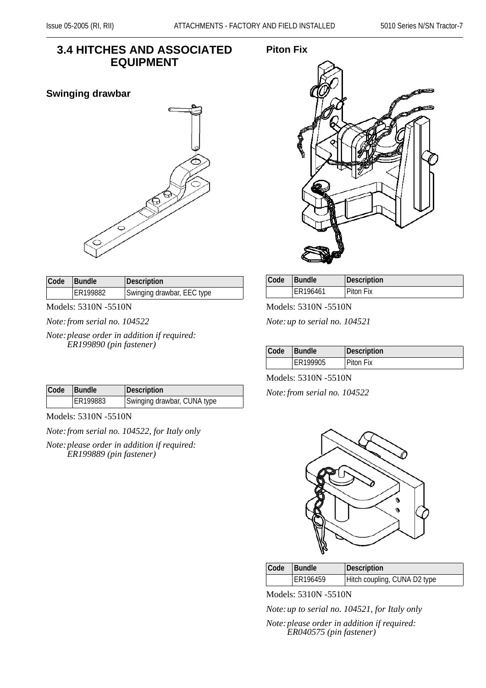# **3.4 HITCHES AND ASSOCIATED EQUIPMENT**

#### **Swinging drawbar**



| <b>Code</b> | Bundle   | Description                |
|-------------|----------|----------------------------|
|             | ER199882 | Swinging drawbar, EEC type |

Models: 5310N -5510N

*Note:from serial no. 104522*

*Note:please order in addition if required: ER199890 (pin fastener)*

| Code | Bundle   | Description                 |
|------|----------|-----------------------------|
|      | ER199883 | Swinging drawbar, CUNA type |

Models: 5310N -5510N

*Note:from serial no. 104522, for Italy only*

*Note:please order in addition if required: ER199889 (pin fastener)*

#### **Piton Fix**



| Code | <b>Bundle</b> | <b>Description</b> |
|------|---------------|--------------------|
|      | ER196461      | Piton Fix          |

Models: 5310N -5510N

*Note:up to serial no. 104521*

| Code | <b>Bundle</b> | Description |
|------|---------------|-------------|
|      | ER199905      | Piton Fix   |

Models: 5310N -5510N

*Note:from serial no. 104522*



| Code | <b>Bundle</b> | Description                  |
|------|---------------|------------------------------|
|      | ER196459      | Hitch coupling, CUNA D2 type |

Models: 5310N -5510N

*Note:up to serial no. 104521, for Italy only*

*Note:please order in addition if required: ER040575 (pin fastener)*